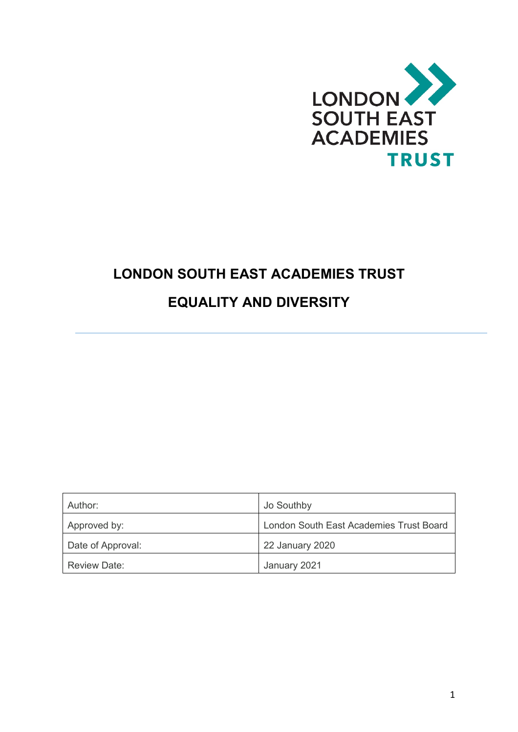

# **LONDON SOUTH EAST ACADEMIES TRUST**

# **EQUALITY AND DIVERSITY**

| Author:             | Jo Southby                              |
|---------------------|-----------------------------------------|
| Approved by:        | London South East Academies Trust Board |
| Date of Approval:   | 22 January 2020                         |
| <b>Review Date:</b> | January 2021                            |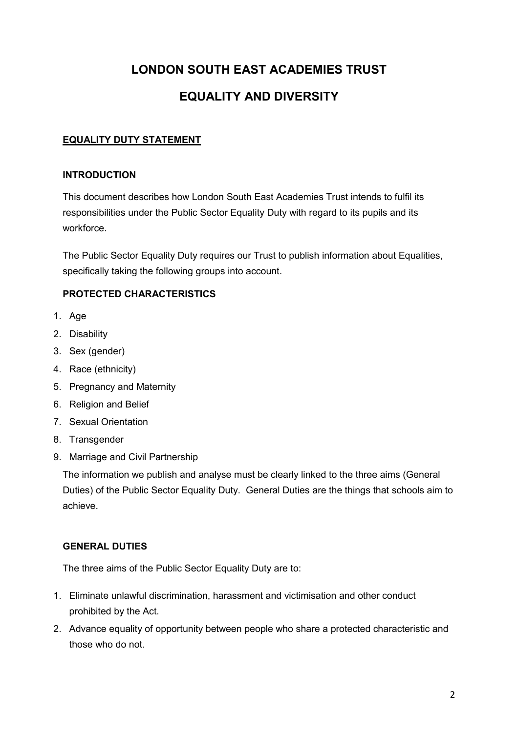## **LONDON SOUTH EAST ACADEMIES TRUST**

## **EQUALITY AND DIVERSITY**

### **EQUALITY DUTY STATEMENT**

#### **INTRODUCTION**

This document describes how London South East Academies Trust intends to fulfil its responsibilities under the Public Sector Equality Duty with regard to its pupils and its workforce.

The Public Sector Equality Duty requires our Trust to publish information about Equalities, specifically taking the following groups into account.

#### **PROTECTED CHARACTERISTICS**

- 1. Age
- 2. Disability
- 3. Sex (gender)
- 4. Race (ethnicity)
- 5. Pregnancy and Maternity
- 6. Religion and Belief
- 7. Sexual Orientation
- 8. Transgender
- 9. Marriage and Civil Partnership

The information we publish and analyse must be clearly linked to the three aims (General Duties) of the Public Sector Equality Duty. General Duties are the things that schools aim to achieve.

#### **GENERAL DUTIES**

The three aims of the Public Sector Equality Duty are to:

- 1. Eliminate unlawful discrimination, harassment and victimisation and other conduct prohibited by the Act.
- 2. Advance equality of opportunity between people who share a protected characteristic and those who do not.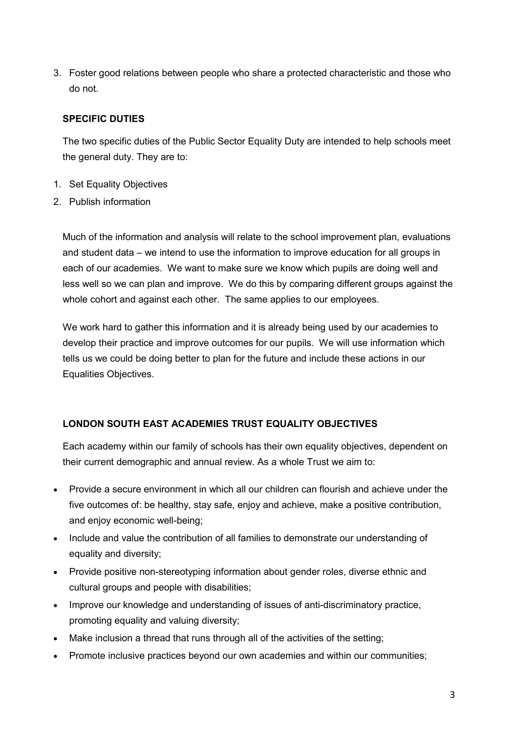3. Foster good relations between people who share a protected characteristic and those who do not.

#### **SPECIFIC DUTIES**

The two specific duties of the Public Sector Equality Duty are intended to help schools meet the general duty. They are to:

- 1. Set Equality Objectives
- 2. Publish information

Much of the information and analysis will relate to the school improvement plan, evaluations and student data – we intend to use the information to improve education for all groups in each of our academies. We want to make sure we know which pupils are doing well and less well so we can plan and improve. We do this by comparing different groups against the whole cohort and against each other. The same applies to our employees.

We work hard to gather this information and it is already being used by our academies to develop their practice and improve outcomes for our pupils. We will use information which tells us we could be doing better to plan for the future and include these actions in our Equalities Objectives.

### **LONDON SOUTH EAST ACADEMIES TRUST EQUALITY OBJECTIVES**

Each academy within our family of schools has their own equality objectives, dependent on their current demographic and annual review. As a whole Trust we aim to:

- Provide a secure environment in which all our children can flourish and achieve under the five outcomes of: be healthy, stay safe, enjoy and achieve, make a positive contribution, and enjoy economic well-being;
- Include and value the contribution of all families to demonstrate our understanding of equality and diversity;
- Provide positive non-stereotyping information about gender roles, diverse ethnic and cultural groups and people with disabilities;
- Improve our knowledge and understanding of issues of anti-discriminatory practice, promoting equality and valuing diversity;
- Make inclusion a thread that runs through all of the activities of the setting;
- Promote inclusive practices beyond our own academies and within our communities;